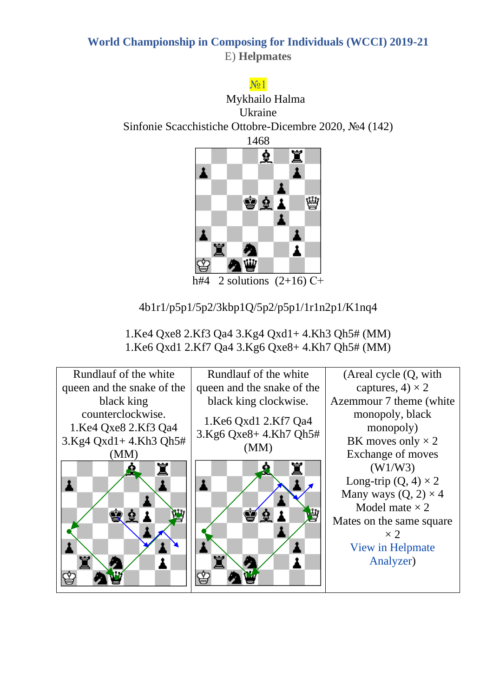### No 1

Mykhailo Halma Ukraine Sinfonie Scacchistiche Ottobre-Dicembre 2020, №4 (142) 1468



h#4 2 solutions  $(2+16)$  C+

4b1r1/p5p1/5p2/3kbp1Q/5p2/p5p1/1r1n2p1/K1nq4

1.Ke4 Qxe8 2.Kf3 Qa4 3.Kg4 Qxd1+ 4.Kh3 Qh5# (MM) 1.Ke6 Qxd1 2.Kf7 Qa4 3.Kg6 Qxe8+ 4.Kh7 Qh5# (MM)

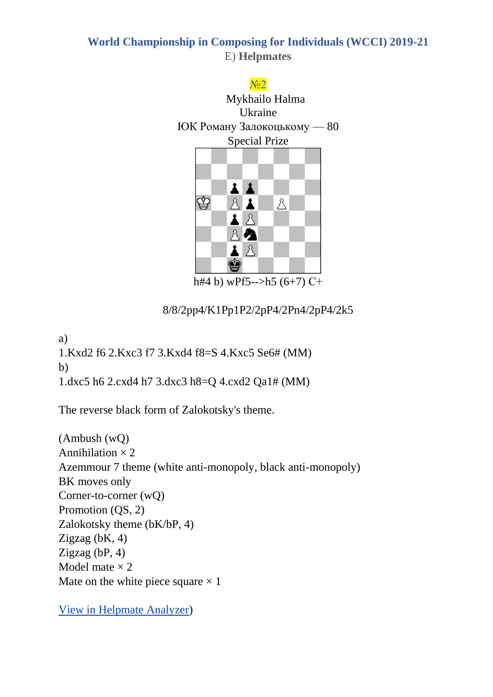# No<sub>2</sub> Mykhailo Halma Ukraine ЮК Роману Залокоцькому — 80 Special Prize



h#4 b) wPf5-->h5  $(6+7)$  C+

8/8/2pp4/K1Pp1P2/2pP4/2Pn4/2pP4/2k5

a)

1.Kxd2 f6 2.Kxc3 f7 3.Kxd4 f8=S 4.Kxc5 Se6# (MM) b) 1.dxc5 h6 2.cxd4 h7 3.dxc3 h8=Q 4.cxd2 Qa1# (MM)

The reverse black form of Zalokotsky's theme.

(Ambush (wQ) Annihilation  $\times$  2 Azemmour 7 theme (white anti-monopoly, black anti-monopoly) BK moves only Corner-to-corner (wQ) Promotion (QS, 2) Zalokotsky theme (bK/bP, 4) Zigzag (bK, 4) Zigzag (bP, 4) Model mate  $\times$  2 Mate on the white piece square  $\times$  1

[View in Helpmate Analyzer\)](http://helpman.komtera.lt/?fen=8/8/2pp4/K1Pp1P2/2pP4/2Pn4/2pP4/2k5&moves=4&twins=b)%20Move%20f5%20h5%0A)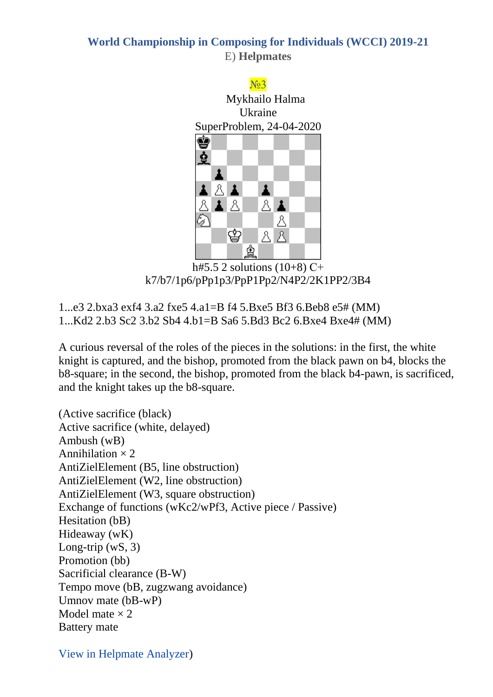#### N<sub>o</sub>3 Mykhailo Halma Ukraine SuperProblem, 24-04-2020 ġ ₫ 1 主义主  $\mathbf{r}$ ∡ | ৪ A 八主 Å ⊘ ♔ A A ♔

h#5.5 2 solutions (10+8) С+ k7/b7/1p6/pPp1p3/PpP1Pp2/N4P2/2K1PP2/3B4

1...e3 2.bxa3 exf4 3.a2 fxe5 4.a1=B f4 5.Bxe5 Bf3 6.Beb8 e5# (MM) 1...Kd2 2.b3 Sc2 3.b2 Sb4 4.b1=B Sa6 5.Bd3 Bc2 6.Bxe4 Bxe4# (MM)

A curious reversal of the roles of the pieces in the solutions: in the first, the white knight is captured, and the bishop, promoted from the black pawn on b4, blocks the b8-square; in the second, the bishop, promoted from the black b4-pawn, is sacrificed, and the knight takes up the b8-square.

(Active sacrifice (black) Active sacrifice (white, delayed) Ambush (wB) Annihilation  $\times$  2 AntiZielElement (B5, line obstruction) AntiZielElement (W2, line obstruction) AntiZielElement (W3, square obstruction) Exchange of functions (wKc2/wPf3, Active piece / Passive) Hesitation (bB) Hideaway (wK) Long-trip  $(wS, 3)$ Promotion (bb) Sacrificial clearance (B-W) Tempo move (bB, zugzwang avoidance) Umnov mate (bB-wP) Model mate  $\times$  2 Battery mate

[View in Helpmate Analyzer\)](http://helpman.komtera.lt/?fen=k7/b7/1p6/pPp1p3/PpP1Pp2/N4P2/2K1PP2/3B4&moves=5.5)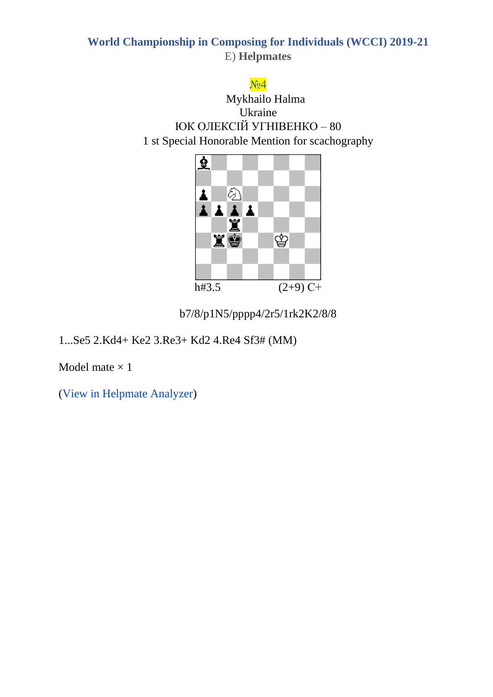#### $N<sub>2</sub>4$

Mykhailo Halma Ukraine ЮК ОЛЕКСІЙ УГНІВЕНКО – 80 1 st Special Honorable Mention for scachography



b7/8/p1N5/pppp4/2r5/1rk2K2/8/8

1...Se5 2.Kd4+ Ke2 3.Re3+ Kd2 4.Re4 Sf3# (MM)

Model mate  $\times$  1

(View in Helpmate Analyzer)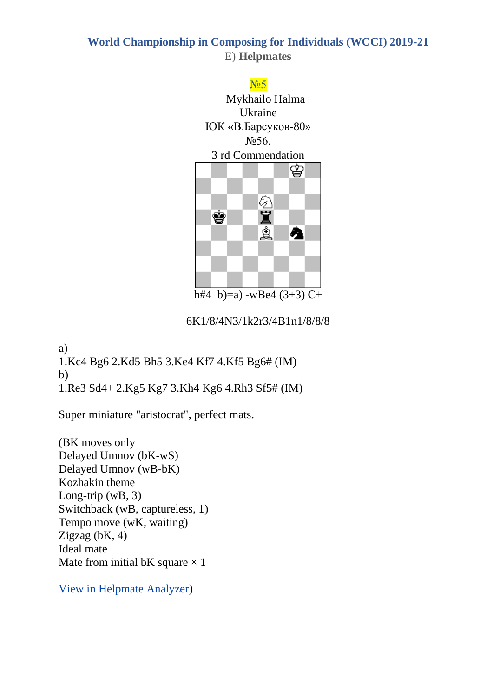#### No 5

Mykhailo Halma Ukraine ЮК «В.Барсуков-80» №56. 3 rd Commendation



h#4 b)=a) -wBe4  $(3+3)$  C+

6K1/8/4N3/1k2r3/4B1n1/8/8/8

a) 1.Kc4 Bg6 2.Kd5 Bh5 3.Ke4 Kf7 4.Kf5 Bg6# (IM) b) 1.Re3 Sd4+ 2.Kg5 Kg7 3.Kh4 Kg6 4.Rh3 Sf5# (IM)

Super miniature "aristocrat", perfect mats.

(BK moves only Delayed Umnov (bK-wS) Delayed Umnov (wB-bK) Kozhakin theme Long-trip  $(wB, 3)$ Switchback (wB, captureless, 1) Tempo move (wK, waiting) Zigzag (bK, 4) Ideal mate Mate from initial bK square  $\times$  1

[View in Helpmate Analyzer\)](http://helpman.komtera.lt/?fen=6K1/8/4N3/1k2r3/4B1n1/8/8/8&moves=4&twins=b)%20Move%20b5%20f5%20%20Move%20g8%20f7%20Remove%20e4)